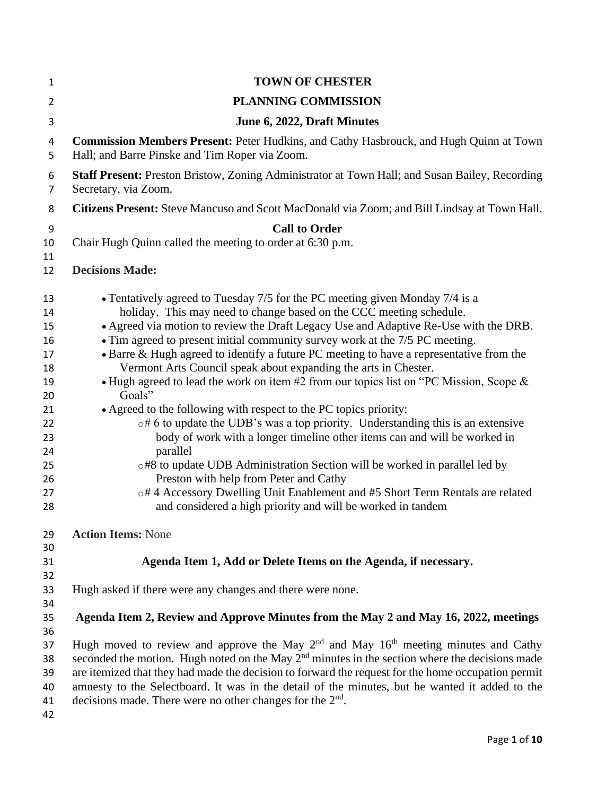| 1                                                                                            | <b>TOWN OF CHESTER</b>                                                                                                                                                                                                                                                                                                                                                                                                                                                                                                                                                                                                                                                                                                                                                                                                                                                                                                                                                                                                                                                                                                       |
|----------------------------------------------------------------------------------------------|------------------------------------------------------------------------------------------------------------------------------------------------------------------------------------------------------------------------------------------------------------------------------------------------------------------------------------------------------------------------------------------------------------------------------------------------------------------------------------------------------------------------------------------------------------------------------------------------------------------------------------------------------------------------------------------------------------------------------------------------------------------------------------------------------------------------------------------------------------------------------------------------------------------------------------------------------------------------------------------------------------------------------------------------------------------------------------------------------------------------------|
| $\overline{2}$                                                                               | <b>PLANNING COMMISSION</b>                                                                                                                                                                                                                                                                                                                                                                                                                                                                                                                                                                                                                                                                                                                                                                                                                                                                                                                                                                                                                                                                                                   |
| 3                                                                                            | June 6, 2022, Draft Minutes                                                                                                                                                                                                                                                                                                                                                                                                                                                                                                                                                                                                                                                                                                                                                                                                                                                                                                                                                                                                                                                                                                  |
| 4<br>5                                                                                       | <b>Commission Members Present: Peter Hudkins, and Cathy Hasbrouck, and Hugh Quinn at Town</b><br>Hall; and Barre Pinske and Tim Roper via Zoom.                                                                                                                                                                                                                                                                                                                                                                                                                                                                                                                                                                                                                                                                                                                                                                                                                                                                                                                                                                              |
| 6<br>$\overline{7}$                                                                          | <b>Staff Present:</b> Preston Bristow, Zoning Administrator at Town Hall; and Susan Bailey, Recording<br>Secretary, via Zoom.                                                                                                                                                                                                                                                                                                                                                                                                                                                                                                                                                                                                                                                                                                                                                                                                                                                                                                                                                                                                |
| 8                                                                                            | Citizens Present: Steve Mancuso and Scott MacDonald via Zoom; and Bill Lindsay at Town Hall.                                                                                                                                                                                                                                                                                                                                                                                                                                                                                                                                                                                                                                                                                                                                                                                                                                                                                                                                                                                                                                 |
| 9                                                                                            | <b>Call to Order</b>                                                                                                                                                                                                                                                                                                                                                                                                                                                                                                                                                                                                                                                                                                                                                                                                                                                                                                                                                                                                                                                                                                         |
| 10<br>11                                                                                     | Chair Hugh Quinn called the meeting to order at 6:30 p.m.                                                                                                                                                                                                                                                                                                                                                                                                                                                                                                                                                                                                                                                                                                                                                                                                                                                                                                                                                                                                                                                                    |
| 12                                                                                           | <b>Decisions Made:</b>                                                                                                                                                                                                                                                                                                                                                                                                                                                                                                                                                                                                                                                                                                                                                                                                                                                                                                                                                                                                                                                                                                       |
| 13<br>14<br>15<br>16<br>17<br>18<br>19<br>20<br>21<br>22<br>23<br>24<br>25<br>26<br>27<br>28 | • Tentatively agreed to Tuesday 7/5 for the PC meeting given Monday 7/4 is a<br>holiday. This may need to change based on the CCC meeting schedule.<br>• Agreed via motion to review the Draft Legacy Use and Adaptive Re-Use with the DRB.<br>• Tim agreed to present initial community survey work at the 7/5 PC meeting.<br>• Barre & Hugh agreed to identify a future PC meeting to have a representative from the<br>Vermont Arts Council speak about expanding the arts in Chester.<br>• Hugh agreed to lead the work on item #2 from our topics list on "PC Mission, Scope &<br>Goals"<br>• Agreed to the following with respect to the PC topics priority:<br>$\circ$ #6 to update the UDB's was a top priority. Understanding this is an extensive<br>body of work with a longer timeline other items can and will be worked in<br>parallel<br>o#8 to update UDB Administration Section will be worked in parallel led by<br>Preston with help from Peter and Cathy<br>o# 4 Accessory Dwelling Unit Enablement and #5 Short Term Rentals are related<br>and considered a high priority and will be worked in tandem |
| 29                                                                                           | <b>Action Items: None</b>                                                                                                                                                                                                                                                                                                                                                                                                                                                                                                                                                                                                                                                                                                                                                                                                                                                                                                                                                                                                                                                                                                    |
| 30<br>31                                                                                     | Agenda Item 1, Add or Delete Items on the Agenda, if necessary.                                                                                                                                                                                                                                                                                                                                                                                                                                                                                                                                                                                                                                                                                                                                                                                                                                                                                                                                                                                                                                                              |
| 32                                                                                           |                                                                                                                                                                                                                                                                                                                                                                                                                                                                                                                                                                                                                                                                                                                                                                                                                                                                                                                                                                                                                                                                                                                              |
| 33<br>34                                                                                     | Hugh asked if there were any changes and there were none.                                                                                                                                                                                                                                                                                                                                                                                                                                                                                                                                                                                                                                                                                                                                                                                                                                                                                                                                                                                                                                                                    |
| 35                                                                                           | Agenda Item 2, Review and Approve Minutes from the May 2 and May 16, 2022, meetings                                                                                                                                                                                                                                                                                                                                                                                                                                                                                                                                                                                                                                                                                                                                                                                                                                                                                                                                                                                                                                          |
| 36                                                                                           |                                                                                                                                                                                                                                                                                                                                                                                                                                                                                                                                                                                                                                                                                                                                                                                                                                                                                                                                                                                                                                                                                                                              |
| 37                                                                                           | Hugh moved to review and approve the May $2nd$ and May $16th$ meeting minutes and Cathy                                                                                                                                                                                                                                                                                                                                                                                                                                                                                                                                                                                                                                                                                                                                                                                                                                                                                                                                                                                                                                      |
| 38                                                                                           | seconded the motion. Hugh noted on the May $2nd$ minutes in the section where the decisions made                                                                                                                                                                                                                                                                                                                                                                                                                                                                                                                                                                                                                                                                                                                                                                                                                                                                                                                                                                                                                             |
| 39                                                                                           | are itemized that they had made the decision to forward the request for the home occupation permit                                                                                                                                                                                                                                                                                                                                                                                                                                                                                                                                                                                                                                                                                                                                                                                                                                                                                                                                                                                                                           |
| 40<br>41                                                                                     | amnesty to the Selectboard. It was in the detail of the minutes, but he wanted it added to the<br>decisions made. There were no other changes for the $2nd$ .                                                                                                                                                                                                                                                                                                                                                                                                                                                                                                                                                                                                                                                                                                                                                                                                                                                                                                                                                                |
| 42                                                                                           |                                                                                                                                                                                                                                                                                                                                                                                                                                                                                                                                                                                                                                                                                                                                                                                                                                                                                                                                                                                                                                                                                                                              |
|                                                                                              |                                                                                                                                                                                                                                                                                                                                                                                                                                                                                                                                                                                                                                                                                                                                                                                                                                                                                                                                                                                                                                                                                                                              |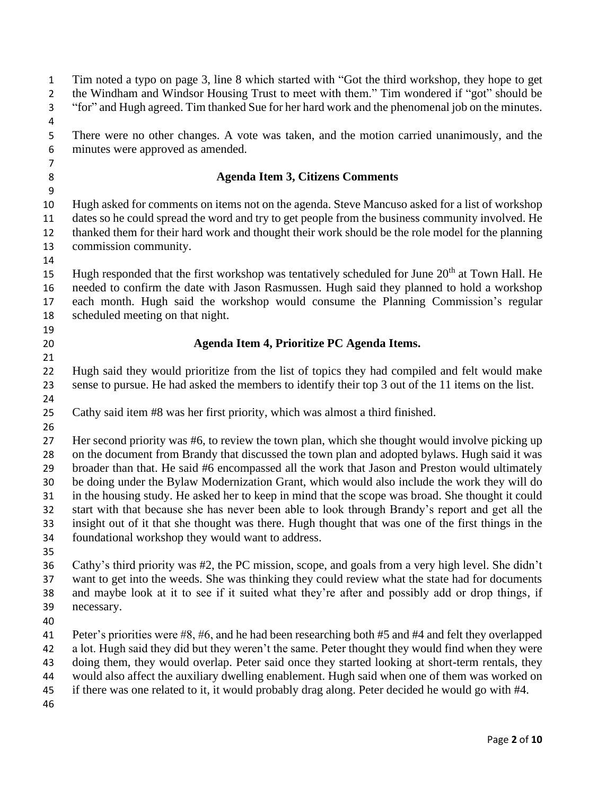| $\mathbf 1$<br>$\overline{2}$ | Tim noted a typo on page 3, line 8 which started with "Got the third workshop, they hope to get<br>the Windham and Windsor Housing Trust to meet with them." Tim wondered if "got" should be      |
|-------------------------------|---------------------------------------------------------------------------------------------------------------------------------------------------------------------------------------------------|
| $\mathsf{3}$                  | "for" and Hugh agreed. Tim thanked Sue for her hard work and the phenomenal job on the minutes.                                                                                                   |
| 4                             |                                                                                                                                                                                                   |
| 5<br>6                        | There were no other changes. A vote was taken, and the motion carried unanimously, and the<br>minutes were approved as amended.                                                                   |
| $\overline{7}$                |                                                                                                                                                                                                   |
| 8                             | <b>Agenda Item 3, Citizens Comments</b>                                                                                                                                                           |
| 9                             |                                                                                                                                                                                                   |
| 10                            | Hugh asked for comments on items not on the agenda. Steve Mancuso asked for a list of workshop                                                                                                    |
| 11                            | dates so he could spread the word and try to get people from the business community involved. He                                                                                                  |
| 12                            | thanked them for their hard work and thought their work should be the role model for the planning                                                                                                 |
| 13                            | commission community.                                                                                                                                                                             |
| 14                            |                                                                                                                                                                                                   |
| 15                            | Hugh responded that the first workshop was tentatively scheduled for June 20 <sup>th</sup> at Town Hall. He                                                                                       |
| 16                            | needed to confirm the date with Jason Rasmussen. Hugh said they planned to hold a workshop                                                                                                        |
| 17                            | each month. Hugh said the workshop would consume the Planning Commission's regular                                                                                                                |
| 18                            | scheduled meeting on that night.                                                                                                                                                                  |
| 19<br>20                      | Agenda Item 4, Prioritize PC Agenda Items.                                                                                                                                                        |
| 21                            |                                                                                                                                                                                                   |
| 22                            | Hugh said they would prioritize from the list of topics they had compiled and felt would make                                                                                                     |
| 23                            | sense to pursue. He had asked the members to identify their top 3 out of the 11 items on the list.                                                                                                |
| 24                            |                                                                                                                                                                                                   |
| 25                            | Cathy said item #8 was her first priority, which was almost a third finished.                                                                                                                     |
| 26                            |                                                                                                                                                                                                   |
| 27                            | Her second priority was #6, to review the town plan, which she thought would involve picking up                                                                                                   |
| 28                            | on the document from Brandy that discussed the town plan and adopted bylaws. Hugh said it was                                                                                                     |
| 29                            | broader than that. He said #6 encompassed all the work that Jason and Preston would ultimately                                                                                                    |
| 30                            | be doing under the Bylaw Modernization Grant, which would also include the work they will do                                                                                                      |
| 31                            | in the housing study. He asked her to keep in mind that the scope was broad. She thought it could                                                                                                 |
| 32                            | start with that because she has never been able to look through Brandy's report and get all the                                                                                                   |
| 33                            | insight out of it that she thought was there. Hugh thought that was one of the first things in the                                                                                                |
| 34                            | foundational workshop they would want to address.                                                                                                                                                 |
| 35                            |                                                                                                                                                                                                   |
| 36                            | Cathy's third priority was #2, the PC mission, scope, and goals from a very high level. She didn't                                                                                                |
| 37                            | want to get into the weeds. She was thinking they could review what the state had for documents                                                                                                   |
| 38                            | and maybe look at it to see if it suited what they're after and possibly add or drop things, if                                                                                                   |
| 39                            | necessary.                                                                                                                                                                                        |
| 40                            |                                                                                                                                                                                                   |
| 41                            | Peter's priorities were #8, #6, and he had been researching both #5 and #4 and felt they overlapped                                                                                               |
| 42                            | a lot. Hugh said they did but they weren't the same. Peter thought they would find when they were                                                                                                 |
| 43                            | doing them, they would overlap. Peter said once they started looking at short-term rentals, they                                                                                                  |
| 44<br>45                      | would also affect the auxiliary dwelling enablement. Hugh said when one of them was worked on<br>if there was one related to it, it would probably drag along. Peter decided he would go with #4. |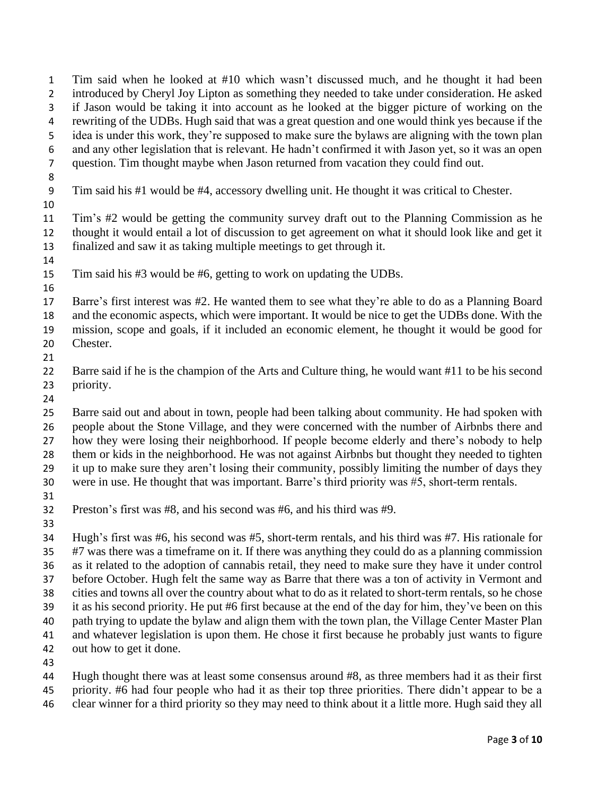Tim said when he looked at #10 which wasn't discussed much, and he thought it had been introduced by Cheryl Joy Lipton as something they needed to take under consideration. He asked if Jason would be taking it into account as he looked at the bigger picture of working on the rewriting of the UDBs. Hugh said that was a great question and one would think yes because if the idea is under this work, they're supposed to make sure the bylaws are aligning with the town plan and any other legislation that is relevant. He hadn't confirmed it with Jason yet, so it was an open question. Tim thought maybe when Jason returned from vacation they could find out. Tim said his #1 would be #4, accessory dwelling unit. He thought it was critical to Chester. Tim's #2 would be getting the community survey draft out to the Planning Commission as he thought it would entail a lot of discussion to get agreement on what it should look like and get it finalized and saw it as taking multiple meetings to get through it. Tim said his #3 would be #6, getting to work on updating the UDBs. Barre's first interest was #2. He wanted them to see what they're able to do as a Planning Board and the economic aspects, which were important. It would be nice to get the UDBs done. With the mission, scope and goals, if it included an economic element, he thought it would be good for Chester. 

 Barre said if he is the champion of the Arts and Culture thing, he would want #11 to be his second priority.

 Barre said out and about in town, people had been talking about community. He had spoken with people about the Stone Village, and they were concerned with the number of Airbnbs there and how they were losing their neighborhood. If people become elderly and there's nobody to help them or kids in the neighborhood. He was not against Airbnbs but thought they needed to tighten it up to make sure they aren't losing their community, possibly limiting the number of days they were in use. He thought that was important. Barre's third priority was #5, short-term rentals.

Preston's first was #8, and his second was #6, and his third was #9.

 Hugh's first was #6, his second was #5, short-term rentals, and his third was #7. His rationale for #7 was there was a timeframe on it. If there was anything they could do as a planning commission as it related to the adoption of cannabis retail, they need to make sure they have it under control before October. Hugh felt the same way as Barre that there was a ton of activity in Vermont and cities and towns all over the country about what to do as it related to short-term rentals, so he chose it as his second priority. He put #6 first because at the end of the day for him, they've been on this path trying to update the bylaw and align them with the town plan, the Village Center Master Plan and whatever legislation is upon them. He chose it first because he probably just wants to figure out how to get it done.

Hugh thought there was at least some consensus around #8, as three members had it as their first

 priority. #6 had four people who had it as their top three priorities. There didn't appear to be a clear winner for a third priority so they may need to think about it a little more. Hugh said they all

Page **3** of **10**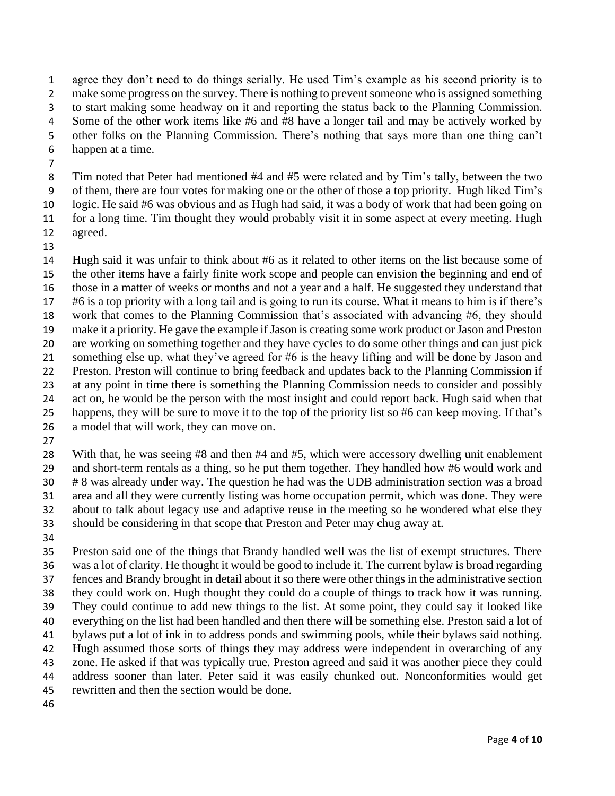agree they don't need to do things serially. He used Tim's example as his second priority is to 2 make some progress on the survey. There is nothing to prevent someone who is assigned something to start making some headway on it and reporting the status back to the Planning Commission. Some of the other work items like #6 and #8 have a longer tail and may be actively worked by other folks on the Planning Commission. There's nothing that says more than one thing can't happen at a time.

 Tim noted that Peter had mentioned #4 and #5 were related and by Tim's tally, between the two of them, there are four votes for making one or the other of those a top priority. Hugh liked Tim's logic. He said #6 was obvious and as Hugh had said, it was a body of work that had been going on for a long time. Tim thought they would probably visit it in some aspect at every meeting. Hugh

 agreed. 

 Hugh said it was unfair to think about #6 as it related to other items on the list because some of the other items have a fairly finite work scope and people can envision the beginning and end of those in a matter of weeks or months and not a year and a half. He suggested they understand that #6 is a top priority with a long tail and is going to run its course. What it means to him is if there's work that comes to the Planning Commission that's associated with advancing #6, they should make it a priority. He gave the example if Jason is creating some work product or Jason and Preston are working on something together and they have cycles to do some other things and can just pick something else up, what they've agreed for #6 is the heavy lifting and will be done by Jason and Preston. Preston will continue to bring feedback and updates back to the Planning Commission if at any point in time there is something the Planning Commission needs to consider and possibly act on, he would be the person with the most insight and could report back. Hugh said when that happens, they will be sure to move it to the top of the priority list so #6 can keep moving. If that's a model that will work, they can move on.

 With that, he was seeing #8 and then #4 and #5, which were accessory dwelling unit enablement and short-term rentals as a thing, so he put them together. They handled how #6 would work and # 8 was already under way. The question he had was the UDB administration section was a broad area and all they were currently listing was home occupation permit, which was done. They were about to talk about legacy use and adaptive reuse in the meeting so he wondered what else they should be considering in that scope that Preston and Peter may chug away at.

 Preston said one of the things that Brandy handled well was the list of exempt structures. There was a lot of clarity. He thought it would be good to include it. The current bylaw is broad regarding fences and Brandy brought in detail about it so there were other things in the administrative section they could work on. Hugh thought they could do a couple of things to track how it was running. They could continue to add new things to the list. At some point, they could say it looked like everything on the list had been handled and then there will be something else. Preston said a lot of bylaws put a lot of ink in to address ponds and swimming pools, while their bylaws said nothing. Hugh assumed those sorts of things they may address were independent in overarching of any zone. He asked if that was typically true. Preston agreed and said it was another piece they could address sooner than later. Peter said it was easily chunked out. Nonconformities would get rewritten and then the section would be done.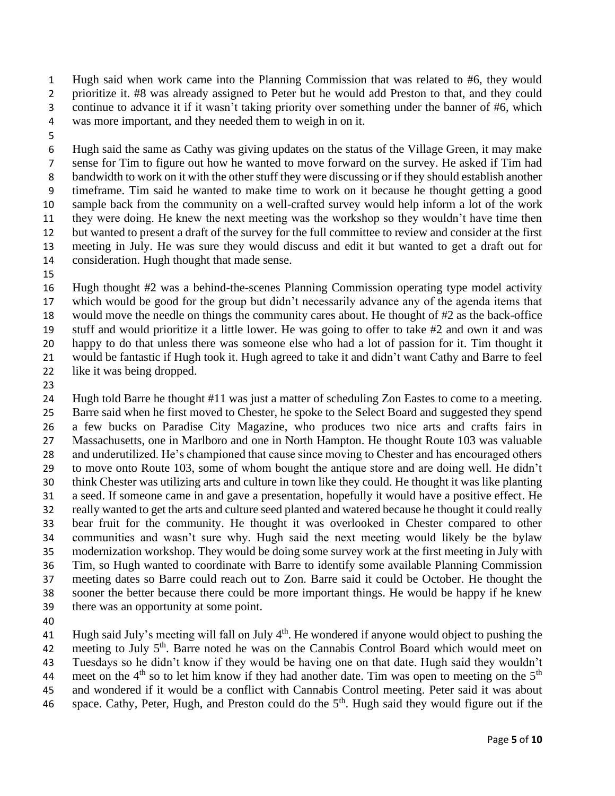Hugh said when work came into the Planning Commission that was related to #6, they would prioritize it. #8 was already assigned to Peter but he would add Preston to that, and they could continue to advance it if it wasn't taking priority over something under the banner of #6, which was more important, and they needed them to weigh in on it.

 Hugh said the same as Cathy was giving updates on the status of the Village Green, it may make sense for Tim to figure out how he wanted to move forward on the survey. He asked if Tim had bandwidth to work on it with the other stuff they were discussing or if they should establish another timeframe. Tim said he wanted to make time to work on it because he thought getting a good sample back from the community on a well-crafted survey would help inform a lot of the work they were doing. He knew the next meeting was the workshop so they wouldn't have time then but wanted to present a draft of the survey for the full committee to review and consider at the first meeting in July. He was sure they would discuss and edit it but wanted to get a draft out for consideration. Hugh thought that made sense.

 Hugh thought #2 was a behind-the-scenes Planning Commission operating type model activity which would be good for the group but didn't necessarily advance any of the agenda items that would move the needle on things the community cares about. He thought of #2 as the back-office stuff and would prioritize it a little lower. He was going to offer to take #2 and own it and was happy to do that unless there was someone else who had a lot of passion for it. Tim thought it would be fantastic if Hugh took it. Hugh agreed to take it and didn't want Cathy and Barre to feel like it was being dropped.

 Hugh told Barre he thought #11 was just a matter of scheduling Zon Eastes to come to a meeting. Barre said when he first moved to Chester, he spoke to the Select Board and suggested they spend a few bucks on Paradise City Magazine, who produces two nice arts and crafts fairs in Massachusetts, one in Marlboro and one in North Hampton. He thought Route 103 was valuable and underutilized. He's championed that cause since moving to Chester and has encouraged others to move onto Route 103, some of whom bought the antique store and are doing well. He didn't think Chester was utilizing arts and culture in town like they could. He thought it was like planting a seed. If someone came in and gave a presentation, hopefully it would have a positive effect. He really wanted to get the arts and culture seed planted and watered because he thought it could really bear fruit for the community. He thought it was overlooked in Chester compared to other communities and wasn't sure why. Hugh said the next meeting would likely be the bylaw modernization workshop. They would be doing some survey work at the first meeting in July with Tim, so Hugh wanted to coordinate with Barre to identify some available Planning Commission meeting dates so Barre could reach out to Zon. Barre said it could be October. He thought the sooner the better because there could be more important things. He would be happy if he knew there was an opportunity at some point.

41 Hugh said July's meeting will fall on July 4<sup>th</sup>. He wondered if anyone would object to pushing the 42 meeting to July  $5<sup>th</sup>$ . Barre noted he was on the Cannabis Control Board which would meet on Tuesdays so he didn't know if they would be having one on that date. Hugh said they wouldn't 44 meet on the  $4<sup>th</sup>$  so to let him know if they had another date. Tim was open to meeting on the  $5<sup>th</sup>$ 

 and wondered if it would be a conflict with Cannabis Control meeting. Peter said it was about 46 space. Cathy, Peter, Hugh, and Preston could do the  $5<sup>th</sup>$ . Hugh said they would figure out if the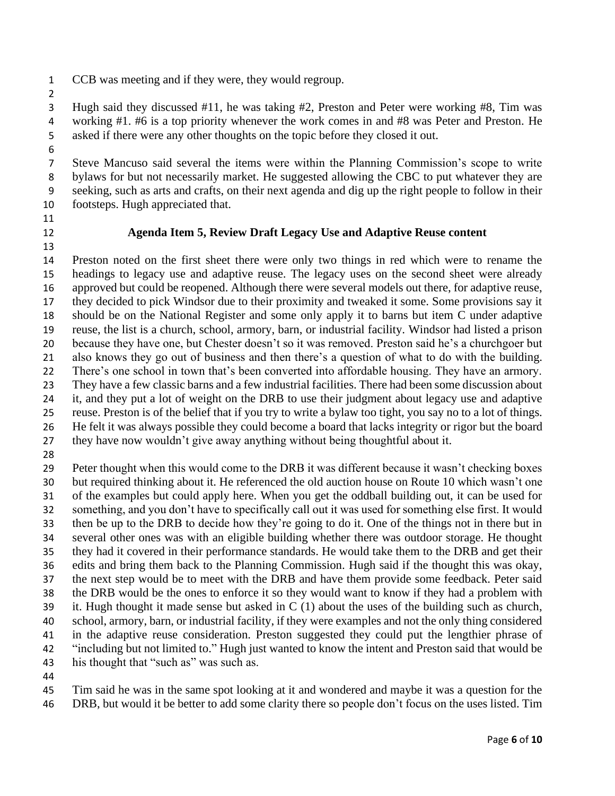- CCB was meeting and if they were, they would regroup.
- 

 Hugh said they discussed #11, he was taking #2, Preston and Peter were working #8, Tim was working #1. #6 is a top priority whenever the work comes in and #8 was Peter and Preston. He asked if there were any other thoughts on the topic before they closed it out.

 Steve Mancuso said several the items were within the Planning Commission's scope to write bylaws for but not necessarily market. He suggested allowing the CBC to put whatever they are seeking, such as arts and crafts, on their next agenda and dig up the right people to follow in their footsteps. Hugh appreciated that.

## 

## **Agenda Item 5, Review Draft Legacy Use and Adaptive Reuse content**

 Preston noted on the first sheet there were only two things in red which were to rename the headings to legacy use and adaptive reuse. The legacy uses on the second sheet were already approved but could be reopened. Although there were several models out there, for adaptive reuse, they decided to pick Windsor due to their proximity and tweaked it some. Some provisions say it should be on the National Register and some only apply it to barns but item C under adaptive reuse, the list is a church, school, armory, barn, or industrial facility. Windsor had listed a prison because they have one, but Chester doesn't so it was removed. Preston said he's a churchgoer but also knows they go out of business and then there's a question of what to do with the building. There's one school in town that's been converted into affordable housing. They have an armory. They have a few classic barns and a few industrial facilities. There had been some discussion about it, and they put a lot of weight on the DRB to use their judgment about legacy use and adaptive reuse. Preston is of the belief that if you try to write a bylaw too tight, you say no to a lot of things. He felt it was always possible they could become a board that lacks integrity or rigor but the board they have now wouldn't give away anything without being thoughtful about it.

 Peter thought when this would come to the DRB it was different because it wasn't checking boxes but required thinking about it. He referenced the old auction house on Route 10 which wasn't one of the examples but could apply here. When you get the oddball building out, it can be used for something, and you don't have to specifically call out it was used for something else first. It would then be up to the DRB to decide how they're going to do it. One of the things not in there but in several other ones was with an eligible building whether there was outdoor storage. He thought they had it covered in their performance standards. He would take them to the DRB and get their edits and bring them back to the Planning Commission. Hugh said if the thought this was okay, the next step would be to meet with the DRB and have them provide some feedback. Peter said the DRB would be the ones to enforce it so they would want to know if they had a problem with it. Hugh thought it made sense but asked in C (1) about the uses of the building such as church, school, armory, barn, or industrial facility, if they were examples and not the only thing considered in the adaptive reuse consideration. Preston suggested they could put the lengthier phrase of "including but not limited to." Hugh just wanted to know the intent and Preston said that would be 43 his thought that "such as" was such as.

 Tim said he was in the same spot looking at it and wondered and maybe it was a question for the DRB, but would it be better to add some clarity there so people don't focus on the uses listed. Tim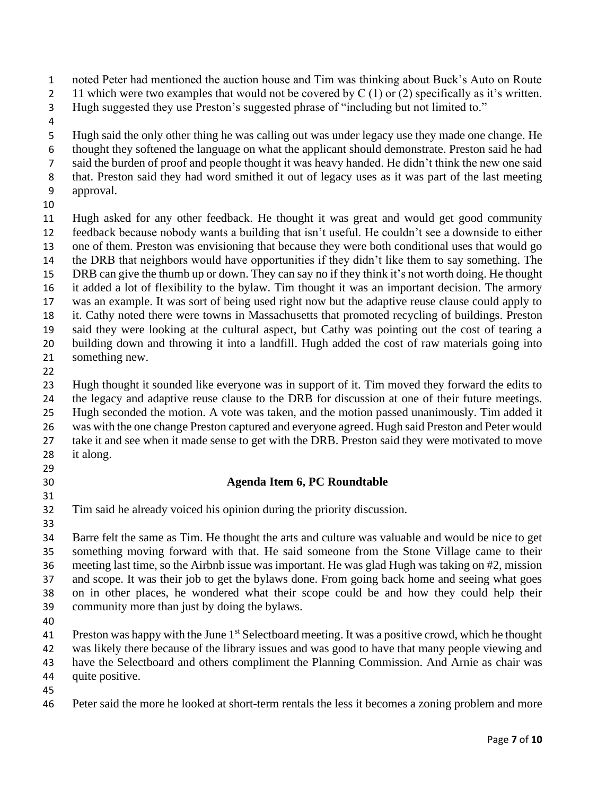noted Peter had mentioned the auction house and Tim was thinking about Buck's Auto on Route

- 2 11 which were two examples that would not be covered by  $C(1)$  or (2) specifically as it's written.
- Hugh suggested they use Preston's suggested phrase of "including but not limited to."
- 

 Hugh said the only other thing he was calling out was under legacy use they made one change. He thought they softened the language on what the applicant should demonstrate. Preston said he had said the burden of proof and people thought it was heavy handed. He didn't think the new one said that. Preston said they had word smithed it out of legacy uses as it was part of the last meeting approval.

 Hugh asked for any other feedback. He thought it was great and would get good community feedback because nobody wants a building that isn't useful. He couldn't see a downside to either one of them. Preston was envisioning that because they were both conditional uses that would go the DRB that neighbors would have opportunities if they didn't like them to say something. The DRB can give the thumb up or down. They can say no if they think it's not worth doing. He thought it added a lot of flexibility to the bylaw. Tim thought it was an important decision. The armory was an example. It was sort of being used right now but the adaptive reuse clause could apply to it. Cathy noted there were towns in Massachusetts that promoted recycling of buildings. Preston said they were looking at the cultural aspect, but Cathy was pointing out the cost of tearing a building down and throwing it into a landfill. Hugh added the cost of raw materials going into something new.

 Hugh thought it sounded like everyone was in support of it. Tim moved they forward the edits to the legacy and adaptive reuse clause to the DRB for discussion at one of their future meetings. Hugh seconded the motion. A vote was taken, and the motion passed unanimously. Tim added it was with the one change Preston captured and everyone agreed. Hugh said Preston and Peter would take it and see when it made sense to get with the DRB. Preston said they were motivated to move it along.

- 
- 

## **Agenda Item 6, PC Roundtable**

Tim said he already voiced his opinion during the priority discussion.

 Barre felt the same as Tim. He thought the arts and culture was valuable and would be nice to get something moving forward with that. He said someone from the Stone Village came to their meeting last time, so the Airbnb issue was important. He was glad Hugh was taking on #2, mission and scope. It was their job to get the bylaws done. From going back home and seeing what goes on in other places, he wondered what their scope could be and how they could help their community more than just by doing the bylaws.

 Preston was happy with the June  $1<sup>st</sup>$  Selectboard meeting. It was a positive crowd, which he thought was likely there because of the library issues and was good to have that many people viewing and have the Selectboard and others compliment the Planning Commission. And Arnie as chair was quite positive.

Peter said the more he looked at short-term rentals the less it becomes a zoning problem and more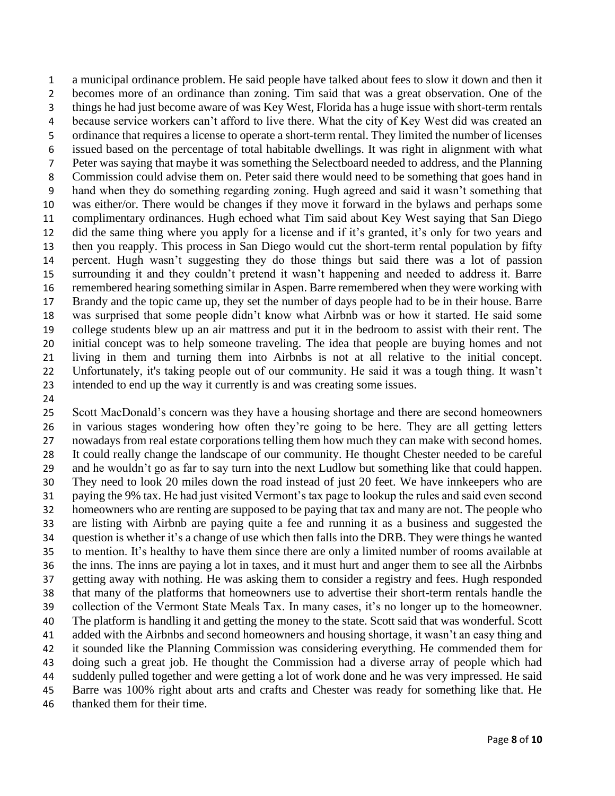a municipal ordinance problem. He said people have talked about fees to slow it down and then it becomes more of an ordinance than zoning. Tim said that was a great observation. One of the things he had just become aware of was Key West, Florida has a huge issue with short-term rentals because service workers can't afford to live there. What the city of Key West did was created an ordinance that requires a license to operate a short-term rental. They limited the number of licenses issued based on the percentage of total habitable dwellings. It was right in alignment with what Peter was saying that maybe it was something the Selectboard needed to address, and the Planning Commission could advise them on. Peter said there would need to be something that goes hand in hand when they do something regarding zoning. Hugh agreed and said it wasn't something that was either/or. There would be changes if they move it forward in the bylaws and perhaps some complimentary ordinances. Hugh echoed what Tim said about Key West saying that San Diego did the same thing where you apply for a license and if it's granted, it's only for two years and then you reapply. This process in San Diego would cut the short-term rental population by fifty percent. Hugh wasn't suggesting they do those things but said there was a lot of passion surrounding it and they couldn't pretend it wasn't happening and needed to address it. Barre remembered hearing something similar in Aspen. Barre remembered when they were working with Brandy and the topic came up, they set the number of days people had to be in their house. Barre was surprised that some people didn't know what Airbnb was or how it started. He said some college students blew up an air mattress and put it in the bedroom to assist with their rent. The initial concept was to help someone traveling. The idea that people are buying homes and not living in them and turning them into Airbnbs is not at all relative to the initial concept. Unfortunately, it's taking people out of our community. He said it was a tough thing. It wasn't intended to end up the way it currently is and was creating some issues.

 Scott MacDonald's concern was they have a housing shortage and there are second homeowners in various stages wondering how often they're going to be here. They are all getting letters nowadays from real estate corporations telling them how much they can make with second homes. It could really change the landscape of our community. He thought Chester needed to be careful and he wouldn't go as far to say turn into the next Ludlow but something like that could happen. They need to look 20 miles down the road instead of just 20 feet. We have innkeepers who are paying the 9% tax. He had just visited Vermont's tax page to lookup the rules and said even second homeowners who are renting are supposed to be paying that tax and many are not. The people who are listing with Airbnb are paying quite a fee and running it as a business and suggested the question is whether it's a change of use which then falls into the DRB. They were things he wanted to mention. It's healthy to have them since there are only a limited number of rooms available at the inns. The inns are paying a lot in taxes, and it must hurt and anger them to see all the Airbnbs getting away with nothing. He was asking them to consider a registry and fees. Hugh responded that many of the platforms that homeowners use to advertise their short-term rentals handle the collection of the Vermont State Meals Tax. In many cases, it's no longer up to the homeowner. The platform is handling it and getting the money to the state. Scott said that was wonderful. Scott added with the Airbnbs and second homeowners and housing shortage, it wasn't an easy thing and it sounded like the Planning Commission was considering everything. He commended them for doing such a great job. He thought the Commission had a diverse array of people which had suddenly pulled together and were getting a lot of work done and he was very impressed. He said Barre was 100% right about arts and crafts and Chester was ready for something like that. He thanked them for their time.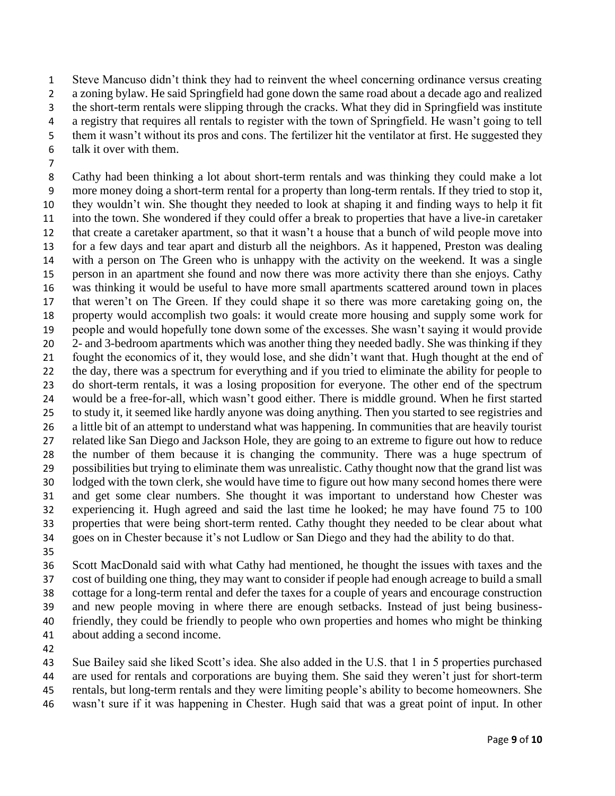Steve Mancuso didn't think they had to reinvent the wheel concerning ordinance versus creating a zoning bylaw. He said Springfield had gone down the same road about a decade ago and realized the short-term rentals were slipping through the cracks. What they did in Springfield was institute a registry that requires all rentals to register with the town of Springfield. He wasn't going to tell 5 them it wasn't without its pros and cons. The fertilizer hit the ventilator at first. He suggested they talk it over with them.

 Cathy had been thinking a lot about short-term rentals and was thinking they could make a lot more money doing a short-term rental for a property than long-term rentals. If they tried to stop it, they wouldn't win. She thought they needed to look at shaping it and finding ways to help it fit into the town. She wondered if they could offer a break to properties that have a live-in caretaker that create a caretaker apartment, so that it wasn't a house that a bunch of wild people move into for a few days and tear apart and disturb all the neighbors. As it happened, Preston was dealing with a person on The Green who is unhappy with the activity on the weekend. It was a single person in an apartment she found and now there was more activity there than she enjoys. Cathy was thinking it would be useful to have more small apartments scattered around town in places that weren't on The Green. If they could shape it so there was more caretaking going on, the property would accomplish two goals: it would create more housing and supply some work for people and would hopefully tone down some of the excesses. She wasn't saying it would provide 2- and 3-bedroom apartments which was another thing they needed badly. She was thinking if they fought the economics of it, they would lose, and she didn't want that. Hugh thought at the end of the day, there was a spectrum for everything and if you tried to eliminate the ability for people to do short-term rentals, it was a losing proposition for everyone. The other end of the spectrum would be a free-for-all, which wasn't good either. There is middle ground. When he first started to study it, it seemed like hardly anyone was doing anything. Then you started to see registries and a little bit of an attempt to understand what was happening. In communities that are heavily tourist related like San Diego and Jackson Hole, they are going to an extreme to figure out how to reduce the number of them because it is changing the community. There was a huge spectrum of possibilities but trying to eliminate them was unrealistic. Cathy thought now that the grand list was lodged with the town clerk, she would have time to figure out how many second homes there were and get some clear numbers. She thought it was important to understand how Chester was experiencing it. Hugh agreed and said the last time he looked; he may have found 75 to 100 properties that were being short-term rented. Cathy thought they needed to be clear about what goes on in Chester because it's not Ludlow or San Diego and they had the ability to do that.

 Scott MacDonald said with what Cathy had mentioned, he thought the issues with taxes and the cost of building one thing, they may want to consider if people had enough acreage to build a small cottage for a long-term rental and defer the taxes for a couple of years and encourage construction and new people moving in where there are enough setbacks. Instead of just being business- friendly, they could be friendly to people who own properties and homes who might be thinking about adding a second income.

Sue Bailey said she liked Scott's idea. She also added in the U.S. that 1 in 5 properties purchased

- are used for rentals and corporations are buying them. She said they weren't just for short-term
- rentals, but long-term rentals and they were limiting people's ability to become homeowners. She
- wasn't sure if it was happening in Chester. Hugh said that was a great point of input. In other